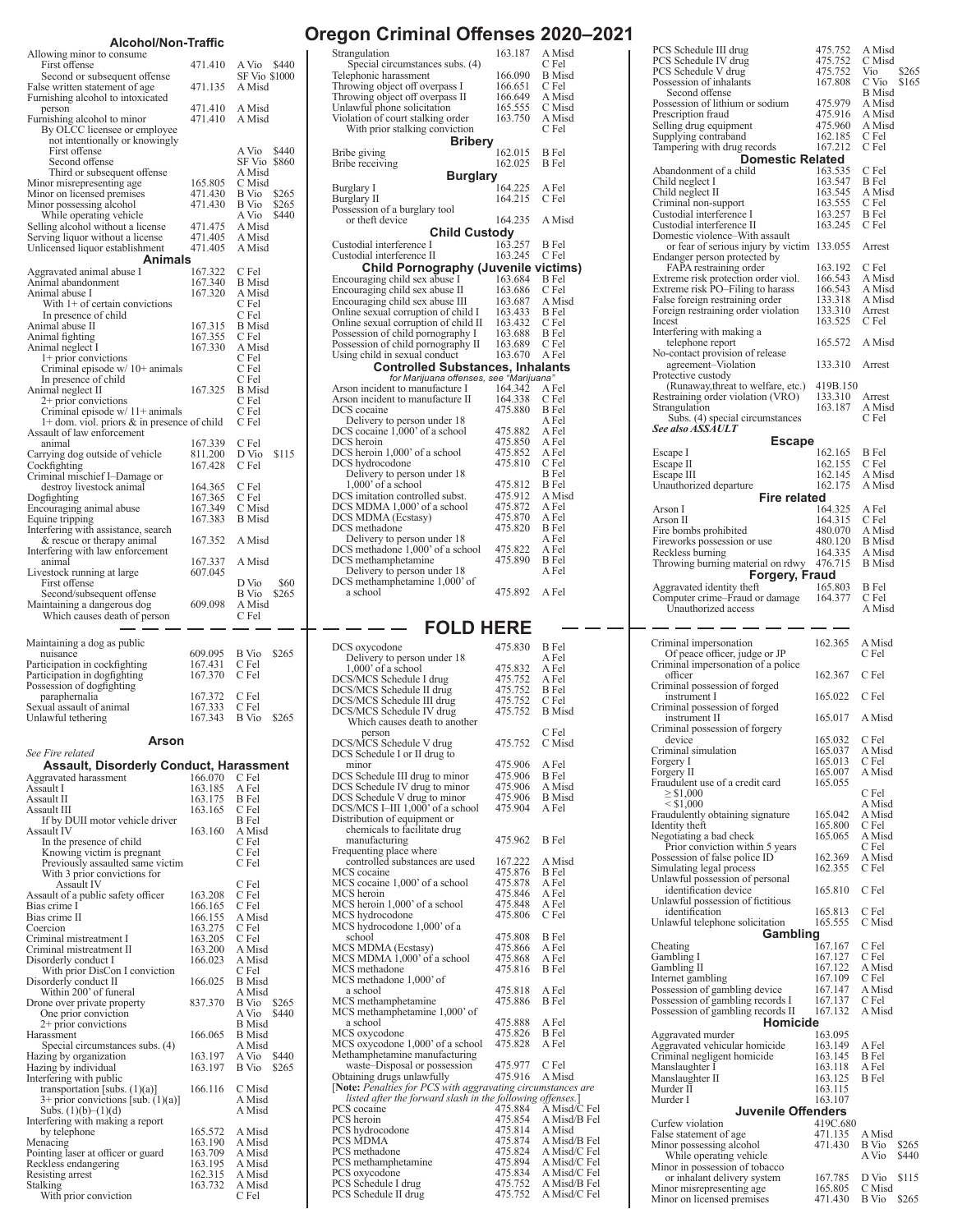| Alcohol/Non-Trattic                                                            |                    |                           |                |
|--------------------------------------------------------------------------------|--------------------|---------------------------|----------------|
| Allowing minor to consume<br>First offense                                     | 471.410            | A Vio                     | \$440          |
| Second or subsequent offense<br>False written statement of age                 | 471.135            | SF Vio \$1000<br>A Misd   |                |
| Furnishing alcohol to intoxicated<br>person<br>Furnishing alcohol to minor     | 471.410<br>471.410 | A Misd<br>A Misd          |                |
| By OLCC licensee or employee<br>not intentionally or knowingly                 |                    |                           |                |
| First offense<br>Second offense                                                |                    | A Vio<br>SF Vio<br>A Misd | \$440<br>\$860 |
| Third or subsequent offense<br>Minor misrepresenting age                       | 165.805            | C Misd                    |                |
| Minor on licensed premises<br>Minor possessing alcohol                         | 471.430<br>471.430 | B Vio<br>B Vio            | \$265<br>\$265 |
| While operating vehicle<br>Selling alcohol without a license                   | 471.475            | A Vio<br>A Misd           | \$440          |
| Serving liquor without a license<br>Unlicensed liquor establishment<br>Animals | 471.405<br>471.405 | A Misd<br>A Misd          |                |
| Aggravated animal abuse I                                                      | 167.322            | C Fel                     |                |
| Animal abandonment<br>Animal abuse I                                           | 167.340<br>167.320 | B Misd<br>A Misd          |                |
| With $1+$ of certain convictions<br>In presence of child                       |                    | C Fel<br>C Fel            |                |
| Animal abuse II<br>Animal fighting                                             | 167.315<br>167.355 | <b>B</b> Misd<br>C Fel    |                |
| Animal neglect I                                                               | 167.330            | A Misd                    |                |
| 1+ prior convictions<br>Criminal episode w/ 10+ animals                        |                    | C Fel<br>C Fel            |                |
| In presence of child<br>Animal neglect II                                      | 167.325            | C Fel<br>B Misd           |                |
| 2+ prior convictions<br>Criminal episode $w/11+$ animals                       |                    | C Fel<br>C Fel            |                |
| $1+$ dom. viol. priors $\&$ in presence of child                               |                    | C Fel                     |                |
| Assault of law enforcement<br>animal                                           | 167.339            | C Fel                     |                |
| Carrying dog outside of vehicle<br>Cockfighting                                | 811.200<br>167.428 | D Vio<br>C Fel            | \$115          |
| Criminal mischief I-Damage or                                                  |                    |                           |                |
| destroy livestock animal<br>Dogfighting                                        | 164.365<br>167.365 | C Fel<br>C Fel            |                |
| Encouraging animal abuse<br>Equine tripping                                    | 167.349<br>167.383 | C Misd<br>B Misd          |                |
| Interfering with assistance, search<br>& rescue or therapy animal              | 167.352            | A Misd                    |                |
| Interfering with law enforcement<br>animal                                     | 167.337            | A Misd                    |                |
| Livestock running at large<br>First offense                                    | 607.045            | D Vio                     | \$60           |
| Second/subsequent offense<br>Maintaining a dangerous dog                       | 609.098            | B Vio<br>A Misd           | \$265          |
| Which causes death of person                                                   |                    | C Fel                     |                |
| Maintaining a dog as public                                                    |                    |                           |                |
| nuisance<br>Participation in cockfighting                                      | 609.095<br>167.431 | B Vio<br>C Fel            | \$265          |
| Participation in dogfighting<br>Possession of dogfighting                      | 167.370            | C Fel                     |                |
| paraphernalia                                                                  | 167.372<br>167.333 | C Fel<br>C Fel            |                |
| Sexual assault of animal<br>Unlawful tethering                                 | 167.343            | B Vio                     | \$265          |
| Arson                                                                          |                    |                           |                |
| See Fire related                                                               |                    |                           |                |
| Assault, Disorderly Conduct, Harassment                                        |                    |                           |                |
| Aggravated harassment<br>Assault I                                             | 166.070<br>163.185 | C Fel<br>A Fel            |                |
| Assault II<br>Assault III                                                      | 163.175<br>163.165 | B Fel<br>C Fel            |                |
| If by DUII motor vehicle driver<br>Assault IV                                  | 163.160            | B Fel<br>A Misd           |                |
| In the presence of child                                                       |                    | C Fel                     |                |
| Knowing victim is pregnant<br>Previously assaulted same victim                 |                    | C Fel<br>C Fel            |                |
| With 3 prior convictions for<br>Assault IV                                     |                    | C Fel                     |                |
| Assault of a public safety officer<br>Bias crime I                             | 163.208<br>166.165 | C Fel<br>C Fel            |                |
| Bias crime II<br>Coercion                                                      | 166.155            | A Misd                    |                |
| Criminal mistreatment I                                                        | 163.275<br>163.205 | C Fel<br>C Fel            |                |
| Criminal mistreatment II<br>Disorderly conduct I                               | 163.200<br>166.023 | A Misd<br>A Misd          |                |
| With prior DisCon I conviction                                                 | 166.025            | C Fel<br>B Misd           |                |
| Disorderly conduct II<br>Within 200' of funeral                                |                    | A Misd                    |                |
| Drone over private property<br>One prior conviction                            | 837.370            | B Vio<br>A Vio            | \$265<br>\$440 |
| 2+ prior convictions<br>Harassment                                             | 166.065            | B Misd<br>B Misd          |                |
| Special circumstances subs. (4)<br>Hazing by organization                      | 163.197            | A Misd<br>A Vio           | \$440          |
| Hazing by individual                                                           | 163.197            | B Vio                     | \$265          |
| Interfering with public<br>transportation [subs. (1)(a)]                       | 166.116            | C Misd                    |                |
| 3+ prior convictions [sub. (1)(a)]<br>Subs. $(1)(b)–(1)(d)$                    |                    | A Misd<br>A Misd          |                |
| Interfering with making a report                                               | 165.572            | A Misd                    |                |
| by telephone<br>Menacing                                                       | 163.190            | A Misd                    |                |
| Pointing laser at officer or guard<br>Reckless endangering                     | 163.709<br>163.195 | A Misd<br>A Misd          |                |
| Resisting arrest<br>Stalking<br>With prior conviction                          | 162.315<br>163.732 | A Misd<br>A Misd<br>C Fel |                |

### Strangulation 163.187 A Misd<br>Special circumstances subs (4) C Fel Special circumstances subs. (4) C Fel<br>ephonic harassment 166.090 B Misd Telephonic harassment 166.090 B Mis<br>Throwing object off overpass I 166.651 C Fel Throwing object off overpass I 166.651 C Fel<br>Throwing object off overpass II 166.649 A Misd<br>Unlawful phone solicitation 165.555 C Misd Throwing object off overpass II 166.649 A Misd Unlawful phone solicitation 165.555 C Misd Violation of court stalking order 163.750 A Misd<br>With prior stalking conviction C Fel With prior stalking conviction **Bribery** Bribe giving<br>Bribe receiving<br>162.015 B Fel<br>162.025 B Fel Bribe receiving<br>
Burglary<br>
Burglary I 164.225 A Fel<br>
164.215 C Fel Burglary II<br>Possession of a burglary tool or theft device <sup>3</sup> 164.235 A Misd **Child Custody**<br>I 163.257 Custodial interference I 163.257 B Fel<br>Custodial interference II 163.245 C Fel Custodial interference II **Child Pornography (Juvenile victims)**<br>raging child sex abuse I 163.684 B Fel Encouraging child sex abuse I 163.684 B Fel<br>Encouraging child sex abuse II 163.686 C Fel Encouraging child sex abuse II 163.686 C Fel<br>Encouraging child sex abuse III 163.687 A Misd Encouraging child sex abuse III 163.687 A Mis<br>Online sexual corruption of child I 163.433 B Fel Online sexual corruption of child I 163.433 B Fel<br>Online sexual corruption of child II 163.432 C Fel<br>Possession of child pornography I 163.688 B Fel Online sexual corruption of child II 163.432 C Fel Possession of child pornography I 163.688 B Fel Possession of child pornography II 163.689 C Fel Using child in sexual conduct 163.670 A Fel **Controlled Substances, Inhalants** *for Marijuana offenses, see "Marijuana"*  Arson incident to manufacture I 164.342<br>Arson incident to manufacture II 164.338 Arson incident to manufacture II 164.338 C Fel<br>DCS cocaine 475.880 B Fel DCS cocaine 475.880 B Fel<br>Delivery to person under 18 A Fel Delivery to person under 18 A Fel DCS cocaine 1,000' of a school 475.882 A Fel DCS heroin 475.850 A Fel DCS heroin 1,000' of a school 475.852 A Fel DCS hydrocodone 475.810 C Fel<br>Delivery to person under 18 B Fel Delivery to person under 18 B Fel<br>1,000' of a school 475.812 B Fel DCS imitation controlled subst. 475.912 A Misd DCS MDMA 1,000' of a school 475.872 A Fel DCS MDMA (Ecstasy) 475.870 A Fel<br>DCS methadone 475.820 B Fel DCS methadone 475.820 B Fel Delivery to person under 18 A Fel DCS methadone 1,000' of a school 475.822 A Fel DCS methadone 1,000' of a school 475.822 A Fel<br>DCS methamphetamine 475.890 B Fel<br>Delivery to person under 18 A Fel Delivery to person under 18 DCS methamphetamine 1,000' of a school 475.892 A Fel **FOLD HERE** DCS oxycodone 475.830 B Fel<br>Delivery to person under 18 A Fel Delivery to person under 18 A Fel<br>1,000' of a school 475.832 A Fel 1,000' of a school 475.832 A Fel DCS/MCS Schedule I drug 475.752 A Fel DCS/MCS Schedule II drug 475.752 B Fel<br>DCS/MCS Schedule III drug 475.752 C Fel<br>DCS/MCS Schedule IV drug 475.752 B Misd DCS/MCS Schedule III drug 475.752 C Fel DCS/MCS Schedule IV drug 475.752 B Misd Which causes death to another person C Fel DCS/MCS Schedule V drug 475.752 C Misd DCS Schedule I or II drug to minor 475.906 A Fel DCS Schedule III drug to minor 475.906 B Fel DCS Schedule III drug to minor<br>DCS Schedule IV drug to minor<br>DCS Schedule V drug to minor<br> $475.906$  A Misd<br>DCS Schedule V drug to minor<br> $475.906$  B Misd DCS Schedule V drug to minor 475.906 B Misd DCS/MCS I–III 1,000' of a school 475.904 A Fel Distribution of equipment or chemicals to facilitate drug manufacturing 475.962 B Fel Frequenting place where<br>
controlled substances are used 167.222 A Misd MCS cocaine 475.876 B Fel MCS cocaine 1,000' of a school 475.878 A Fel MCS heroin 1.000' of a school 475.846 A Fel<br>MCS heroin 1.000' of a school 475.848 A Fel MCS heroin 1,000' of a school 475.848 A Fel<br>MCS hydrocodone 475.806 C Fel MCS hydrocodone MCS hydrocodone 1,000' of a<br>school school 475.808 B Fel MCS MDMA (Ecstasy) 475.866 A Fel MCS MDMA 1,000' of a school 475.868 A Fel<br>MCS methadone 475.816 B Fel MCS methadone MCS methadone 1,000' of<br>a school 475.818 A Fel<br>475.886 B Fel MCS methamphetamine MCS methamphetamine 1,000' of a school  $475.888$  A Fel<br>CS overdone  $475.876$  B Fel MCS oxycodone 475.826 B Fel<br>MCS oxycodone 1,000' of a school 475.828 A Fel  $MCS$  oxycodone  $1,000$ ' of a school Methamphetamine manufacturing waste–Disposal or possession 475.977 C Fel<br>Obtaining drugs unlawfully 475.916 A Misd Obtaining drugs unlawfully 475.916 A Misd<br>
Note: *Penalties for PCS with aggravating circumstances are*<br>
listed after the forward slash in the following offenses.]<br>
PCS occaine 475.884 A Misd/C Fel<br>
PCS heroin 475.854 A Mi PCS heroin 475.854 A Misd/B Fel PCS hydrocodone 475.814 A Misd<br>PCS MDMA 475.814 A Misd<br>PCS MDMA 475.874 A Misd/B Fel PCS MDMA 475.874 A Misd/B Fel 475.824 A Misd/C Fel<br>475.894 A Misd/C Fel PCS methamphetamine 475.894 A Misd/C Fel<br>PCS oxycodone 475.834 A Misd/C Fel PCS oxycodone 475.834 A Misd/C Fel PCS Schedule I drug 475.752 A Misd/B Fel PCS Schedule II drug 475.752 A Misd/C Fel

**Oregon Criminal Offenses 2020–2021**

| PCS Schedule III drug                                                   | 475.752             | A Misd           |                |
|-------------------------------------------------------------------------|---------------------|------------------|----------------|
| PCS Schedule IV drug                                                    | 475.752             | C Misd           |                |
| PCS Schedule V drug<br>Possession of inhalants                          | 475.752<br>167.808  | Vio<br>C Vio     | \$265<br>\$165 |
| Second offense                                                          |                     | B Misd           |                |
| Possession of lithium or sodium                                         | 475.979<br>475.916  | A Misd<br>A Misd |                |
| Prescription fraud<br>Selling drug equipment                            | 475.960             | A Misd           |                |
| Supplying contraband                                                    | 162.185             | C Fel            |                |
| Tampering with drug records                                             | 167.212             | C Fel            |                |
| <b>Domestic Related</b><br>Abandonment of a child                       | 163.535             | C Fel            |                |
| Child neglect I                                                         | 163.547             | B Fel            |                |
| Child neglect II                                                        | 163.545             | A Misd           |                |
| Criminal non-support<br>Custodial interference I                        | 163.555<br>163.257  | C Fel<br>B Fel   |                |
| Custodial interference II                                               | 163.245             | C Fel            |                |
| Domestic violence–With assault<br>or fear of serious injury by victim   | 133.055             | Arrest           |                |
| Endanger person protected by                                            |                     |                  |                |
| FAPA restraining order                                                  | 163.192             | C Fel            |                |
| Extreme risk protection order viol.<br>Extreme risk PO-Filing to harass | 166.543<br>166.543  | A Misd<br>A Misd |                |
| False foreign restraining order                                         | 133.318             | A Misd           |                |
| Foreign restraining order violation<br>Incest                           | 133.310<br>163.525  | Arrest<br>C Fel  |                |
| Interfering with making a                                               |                     |                  |                |
| telephone report                                                        | 165.572             | A Misd           |                |
| No-contact provision of release<br>agreement-Violation                  | 133.310             | Arrest           |                |
| Protective custody                                                      |                     |                  |                |
| (Runaway, threat to welfare, etc.)                                      | 419B.150            |                  |                |
| Restraining order violation (VRO)<br>Strangulation                      | 133.310<br>163.187  | Arrest<br>A Misd |                |
| Subs. (4) special circumstances                                         |                     | C Fel            |                |
| See also ASSAULT                                                        |                     |                  |                |
| <b>Escape</b><br>Escape 1                                               | 162.165             | B Fel            |                |
| Escape II                                                               | 162.155             | C Fel            |                |
| Escape III                                                              | 162.145             | A Misd           |                |
| Unauthorized departure<br>Fire related                                  | 162.175             | A Misd           |                |
| Arson I                                                                 | 164.325             | A Fel            |                |
| Arson II                                                                | 164.315             | C Fel            |                |
| Fire bombs prohibited                                                   | 480.070<br>480.120  | A Misd<br>B Misd |                |
| Fireworks possession or use<br>Reckless burning                         | 164.335             | A Misd           |                |
| Throwing burning material on rdwy                                       | 476.715             | B Misd           |                |
| Forgery, Fraud                                                          |                     |                  |                |
| Aggravated identity theft<br>Computer crime–Fraud or damage             | 165.803<br>164.377  | B Fel<br>C Fel   |                |
| Unauthorized access                                                     |                     | A Misd           |                |
|                                                                         |                     |                  |                |
| Criminal impersonation                                                  | 162.365             | A Misd           |                |
| Of peace officer, judge or JP                                           |                     | C Fel            |                |
| Criminal impersonation of a police<br>officer                           | 162.367             | C Fel            |                |
| Criminal possession of forged                                           |                     |                  |                |
| instrument I                                                            | 165.022             | C Fel            |                |
| Criminal possession of forged<br>instrument II                          | 165.017             | A Misd           |                |
| Criminal possession of forgery                                          |                     |                  |                |
| device                                                                  | 165.032<br>165.037  | C Fel            |                |
| Criminal simulation<br>Forgery 1                                        | 165.013             | A Misd<br>C Fel  |                |
| Forgery II                                                              | 165.007             | A Misd           |                |
| Fraudulent use of a credit card<br>$\geq$ \$1,000                       | 165.055             | C Fel            |                |
| $<$ \$1,000                                                             |                     | A Misd           |                |
| Fraudulently obtaining signature                                        | 165.042             | A Misd           |                |
| Identity theft<br>Negotiating a bad check                               | 165.800<br>165.065  | C Fel<br>A Misd  |                |
| Prior conviction within 5 years                                         |                     | C Fel            |                |
| Possession of false police ID                                           | 162.369             | A Misd           |                |
| Simulating legal process<br>Unlawful possession of personal             | 162.355             | C Fel            |                |
| identification device                                                   | 165.810             | C Fel            |                |
| Unlawful possession of fictitious<br>identification                     | 165.813             | C Fel            |                |
| Unlawful telephone solicitation                                         | 165.555             | C Misd           |                |
| Gambling                                                                |                     |                  |                |
| Cheating<br>Gambling I                                                  | 167.167<br>167.127  | C Fel<br>C Fel   |                |
| Gambling II                                                             | 167.122             | A Misd           |                |
| Internet gambling                                                       | 167.109             | C Fel            |                |
| Possession of gambling device                                           | 167.147<br>167.137  | A Misd<br>C Fel  |                |
| Possession of gambling records I<br>Possession of gambling records II   | 167.132             | A Misd           |                |
| Homicide                                                                |                     |                  |                |
| Aggravated murder                                                       | 163.095<br>163.149  | A Fel            |                |
| Aggravated vehicular homicide<br>Criminal negligent homicide            | 163.145             | B Fel            |                |
| Manslaughter I                                                          | 163.118             | A Fel            |                |
| Manslaughter II<br>Murder II                                            | 163.125<br>163.115  | B Fel            |                |
| Murder I                                                                | 163.107             |                  |                |
| Juvenile Offenders                                                      |                     |                  |                |
| Curfew violation<br>False statement of age                              | 419C.680<br>471.135 | A Misd           |                |
| Minor possessing alcohol                                                | 471.430             | B Vio            | \$265          |
| While operating vehicle                                                 |                     | A Vio            | \$440          |
| Minor in possession of tobacco<br>or inhalant delivery system           | 167.785             | D Vio            | \$115          |
| Minor misrepresenting age                                               | 165.805             | C Misd           |                |
| Minor on licensed premises                                              | 471.430             | B Vio            | \$265          |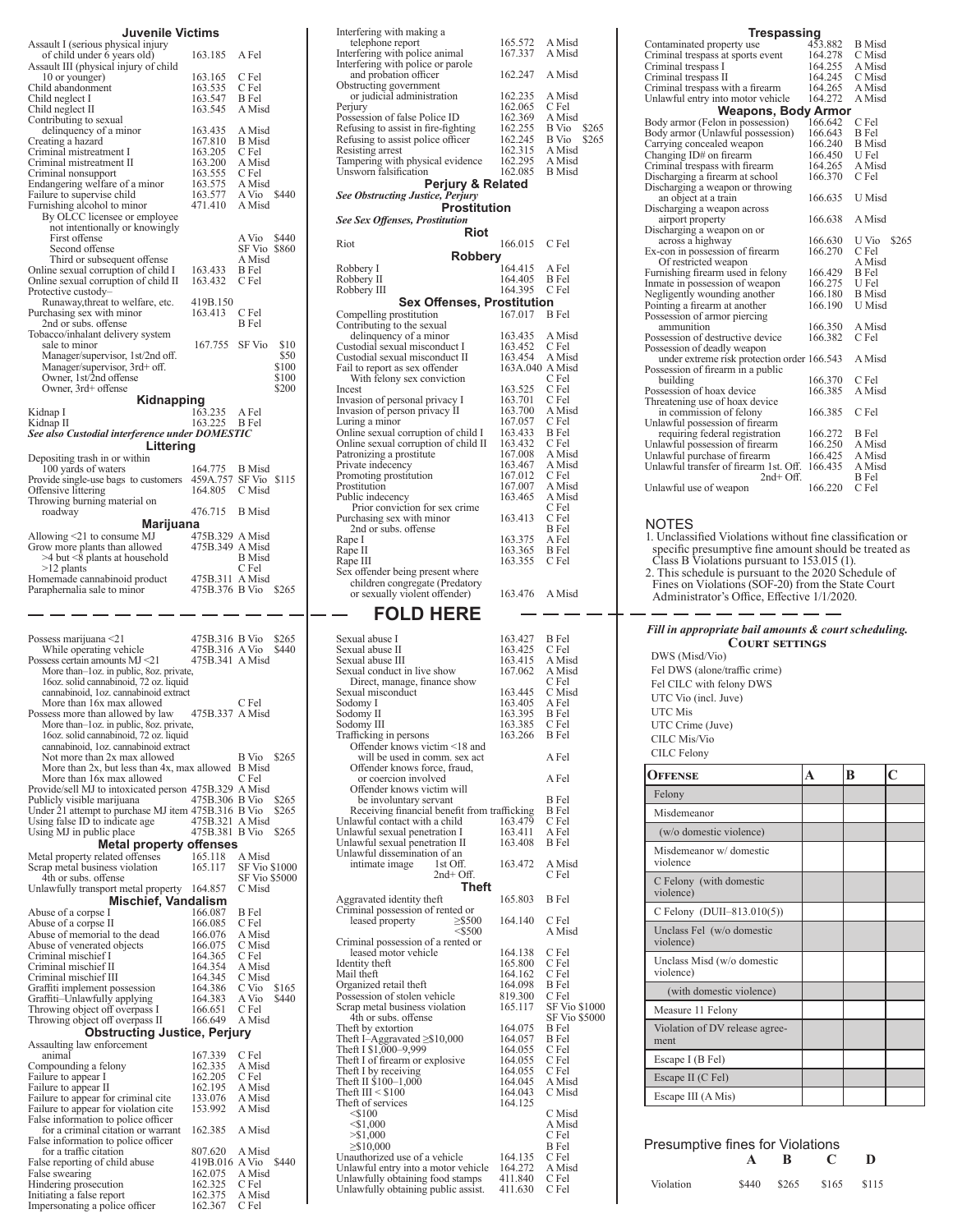| Juvenile Victims                                                                      |                                   |                                  |
|---------------------------------------------------------------------------------------|-----------------------------------|----------------------------------|
| Assault I (serious physical injury                                                    | 163.185                           | A Fel                            |
| of child under 6 years old)<br>Assault III (physical injury of child                  |                                   |                                  |
| 10 or younger)<br>Child abandonment                                                   | 163.165<br>163.535                | C Fel<br>C Fel                   |
| Child neglect I<br>Child neglect II                                                   | 163.547<br>163.545                | B Fel<br>A Misd                  |
| Contributing to sexual<br>delinquency of a minor                                      | 163.435                           | A Misd                           |
| Creating a hazard                                                                     | 167.810                           | <b>B</b> Misd                    |
| Criminal mistreatment I<br>Criminal mistreatment II                                   | 163.205<br>163.200                | C Fel<br>A Misd                  |
| Criminal nonsupport<br>Endangering welfare of a minor                                 | 163.555<br>163.575                | C Fel<br>A Misd                  |
| Failure to supervise child<br>Furnishing alcohol to minor                             | 163.577<br>471.410                | A Vio<br>\$440<br>A Misd         |
| By OLCC licensee or employee<br>not intentionally or knowingly                        |                                   |                                  |
| First offense                                                                         |                                   | A Vio<br>\$440                   |
| Second offense<br>Third or subsequent offense                                         |                                   | SF Vio<br>\$860<br>A Misd        |
| Online sexual corruption of child I<br>Online sexual corruption of child II           | 163.433<br>163.432                | B Fel<br>C Fel                   |
| Protective custody-<br>Runaway, threat to welfare, etc.                               | 419B.150                          |                                  |
| Purchasing sex with minor<br>2nd or subs. offense                                     | 163.413                           | C Fel<br>B Fel                   |
| Tobacco/inhalant delivery system                                                      |                                   |                                  |
| sale to minor<br>Manager/supervisor, 1st/2nd off.                                     | 167.755                           | SF Vio<br>\$10<br>\$50           |
| Manager/supervisor, 3rd+ off.<br>Owner, 1st/2nd offense                               |                                   | \$100<br>\$100                   |
| Owner, 3rd+ offense<br>Kidnapping                                                     |                                   | \$200                            |
| Kidnap I                                                                              | 163.235<br>163.225                | A Fel<br><b>B</b> Fel            |
| Kidnap II<br>See also Custodial interference under DOMESTIC                           |                                   |                                  |
| Littering<br>Depositing trash in or within                                            |                                   |                                  |
| 100 yards of waters<br>Provide single-use bags to customers                           | 164.775<br>459A.757               | B Misd<br>SF Vio<br>\$115        |
| Offensive littering                                                                   | 164.805                           | C Misd                           |
| Throwing burning material on<br>roadway                                               | 476.715                           | <b>B</b> Misd                    |
| Marijuana<br>Allowing <21 to consume MJ                                               | 475B.329 A Misd                   |                                  |
| Grow more plants than allowed<br>>4 but <8 plants at household                        | 475B.349 A Misd                   | <b>B</b> Misd                    |
| $>12$ plants                                                                          |                                   | C Fel                            |
| Homemade cannabinoid product<br>Paraphernalia sale to minor                           | 475B.311 A Misd<br>475B.376 B Vio | \$265                            |
|                                                                                       |                                   |                                  |
|                                                                                       |                                   |                                  |
|                                                                                       |                                   |                                  |
| Possess marijuana <21<br>While operating vehicle                                      | 475B.316 B Vio<br>475B.316 A Vio  | \$265<br>\$440                   |
| Possess certain amounts $MJ < 21$                                                     | 475B.341 A Misd                   |                                  |
| More than-loz. in public, 8oz. private,<br>16oz. solid cannabinoid, 72 oz. liquid     |                                   |                                  |
| cannabinoid, loz. cannabinoid extract<br>More than 16x max allowed                    |                                   | C Fel                            |
| Possess more than allowed by law<br>More than-loz. in public, 8oz. private,           | 475B.337 A Misd                   |                                  |
| 16oz. solid cannabinoid, 72 oz. liquid<br>cannabinoid, loz. cannabinoid extract       |                                   |                                  |
| Not more than 2x max allowed<br>More than 2x, but less than 4x, max allowed           |                                   | B Vio<br>\$265<br><b>B</b> Misd  |
| More than 16x max allowed                                                             |                                   | C Fel                            |
| Provide/sell MJ to intoxicated person 475B.329 A Misd<br>Publicly visible marijuana   | 475B.306 B Vio                    | \$265                            |
| Under 21 attempt to purchase MJ item 475B.316 B Vio<br>Using false ID to indicate age | 475B.321 A Misd                   | \$265                            |
| Using MJ in public place<br><b>Metal property offenses</b>                            | 475B.381 B Vio                    | \$265                            |
| Metal property related offenses<br>Scrap metal business violation                     | 165.118<br>165.117                | A Misd<br><b>SF Vio \$1000</b>   |
| 4th or subs. offense                                                                  |                                   | SF Vio \$5000<br>C Misd          |
| Unlawfully transport metal property 164.857<br><b>Mischief, Vandalism</b>             |                                   |                                  |
| Abuse of a corpse I<br>Abuse of a corpse II                                           | 166.087<br>166.085                | B Fel<br>C Fel                   |
| Abuse of memorial to the dead<br>Abuse of venerated objects                           | 166.076<br>166.075                | A Misd<br>C Misd                 |
| Criminal mischief I                                                                   |                                   | C Fel                            |
| Criminal mischief II<br>Criminal mischief III                                         | 164.365<br>164.354<br>164.345     | A Misd<br>C Misd                 |
| Graffiti implement possession<br>Graffiti-Unlawfully applying                         | 164.386<br>164.383                | C Vio<br>\$165<br>A Vio<br>\$440 |
| Throwing object off overpass I<br>Throwing object off overpass II                     | 166.651<br>166.649                | C Fel<br>A Misd                  |
| <b>Obstructing Justice, Perjury</b>                                                   |                                   |                                  |
| Assaulting law enforcement<br>animal                                                  | 167.339                           | C Fel                            |
| Compounding a felony<br>Failure to appear 1                                           | 162.335<br>162.205                | A Misd<br>C Fel                  |
| Failure to appear II<br>Failure to appear for criminal cite                           | 162.195<br>133.076                | A Misd<br>A Misd                 |
| Failure to appear for violation cite<br>False information to police officer           | 153.992                           | A Misd                           |
| for a criminal citation or warrant                                                    | 162.385                           | A Misd                           |
| False information to police officer<br>for a traffic citation                         | 807.620                           | A Misd                           |
| False reporting of child abuse<br>False swearing                                      | 419B.016 A Vio<br>162.075         | \$440<br>A Misd                  |
| Hindering prosecution<br>Initiating a false report<br>Impersonating a police officer  | 162.325<br>162.375<br>162.367     | C Fel<br>A Misd<br>C Fel         |

| Interfering with making a                                                                | 165.572            | A Misd                   |
|------------------------------------------------------------------------------------------|--------------------|--------------------------|
| telephone report<br>Interfering with police animal                                       | 167.337            | A Misd                   |
| Interfering with police or parole<br>and probation officer                               | 162.247            | A Misd                   |
| Obstructing government<br>or judicial administration                                     | 162.235            | A Misd                   |
| Perjury                                                                                  | 162.065            | C Fel                    |
| Possession of false Police ID<br>Refusing to assist in fire-fighting                     | 162.369<br>162.255 | A Misd<br>B Vio<br>\$265 |
| Refusing to assist police officer<br>Resisting arrest                                    | 162.245<br>162.315 | B Vio<br>\$265<br>A Misd |
| Tampering with physical evidence<br>Unsworn falsification                                | 162.295<br>162.085 | A Misd<br>B Misd         |
| Perjury & Related                                                                        |                    |                          |
| See Obstructing Justice, Perjury<br><b>Prostitution</b>                                  |                    |                          |
| <b>See Sex Offenses, Prostitution</b>                                                    |                    |                          |
| Riot<br>Riot                                                                             | 166.015            | C Fel                    |
| Robbery<br>Robbery I                                                                     | 164.415            | A Fel                    |
| Robbery II                                                                               | 164.405            | B Fel                    |
| Robbery III<br>Sex Offenses, Prostitution                                                | 164.395            | C Fel                    |
| Compelling prostitution                                                                  | 167.017            | B Fel                    |
| Contributing to the sexual<br>delinquency of a minor                                     | 163.435            | A Misd                   |
| Custodial sexual misconduct I<br>Custodial sexual misconduct II                          | 163.452<br>163.454 | C Fel<br>A Misd          |
| Fail to report as sex offender<br>With felony sex conviction                             | 163A.040           | A Misd<br>C Fel          |
| Incest<br>Invasion of personal privacy I                                                 | 163.525<br>163.701 | C Fel<br>C Fel           |
| Invasion of person privacy II                                                            | 163.700            | A Misd                   |
| Luring a minor<br>Online sexual corruption of child I                                    | 167.057<br>163.433 | C Fel<br>B Fel           |
| Online sexual corruption of child II<br>Patronizing a prostitute                         | 163.432<br>167.008 | C Fel<br>A Misd          |
| Private indecency<br>Promoting prostitution                                              | 163.467<br>167.012 | A Misd<br>C Fel          |
| Prostitution                                                                             | 167.007            | A Misd                   |
| Public indecency<br>Prior conviction for sex crime                                       | 163.465            | A Misd<br>C Fel          |
| Purchasing sex with minor<br>2nd or subs. offense                                        | 163.413            | C Fel<br>B Fel           |
| Rape I<br>Rape II                                                                        | 163.375<br>163.365 | A Fel<br>B Fel           |
| Rape III                                                                                 | 163.355            | C Fel                    |
| Sex offender being present where<br>children congregate (Predatory                       |                    |                          |
| or sexually violent offender)                                                            | 163.476            | A Misd                   |
|                                                                                          |                    |                          |
| <b>FOLD HERE</b>                                                                         |                    |                          |
| Sexual abuse I                                                                           | 163.427            | B Fel                    |
| Sexual abuse II<br>Sexual abuse III                                                      | 163.425<br>163.415 | C Fel<br>A Misd          |
| Sexual conduct in live show<br>Direct, manage, finance show                              | 167.062            | A Misd<br>C Fel          |
| Sexual misconduct<br>Sodomy I                                                            | 163.445<br>163.405 | C Misd<br>A Fel          |
| Sodomy II                                                                                | 163.395            | B Fel                    |
| Sodomy III<br>Trafficking in persons                                                     | 163.385<br>163.266 | C Fel<br>B Fel           |
| Offender knows victim <18 and<br>will be used in comm. sex act                           |                    | A Fel                    |
| Offender knows force, fraud,<br>or coercion involved                                     |                    | A Fel                    |
| Offender knows victim will                                                               |                    |                          |
| be involuntary servant<br>Receiving financial benefit from trafficking                   |                    | B Fel<br>B Fel           |
| Unlawful contact with a child<br>Unlawful sexual penetration I                           | 163.479<br>163.411 | C Fel<br>A Fel           |
| Unlawful sexual penetration II<br>Unlawful dissemination of an                           | 163.408            | B Fel                    |
| intimate image<br>1st Off.<br>$2nd+Off.$                                                 | 163.472            | A Misd<br>C Fel          |
| Theft                                                                                    |                    |                          |
| Aggravated identity theft<br>Criminal possession of rented or                            | 165.803            | B Fel                    |
| leased property<br>$\geq$ \$500<br>$<$ \$500                                             | 164.140            | C Fel<br>A Misd          |
| Criminal possession of a rented or                                                       |                    |                          |
| leased motor vehicle<br>Identity theft                                                   | 164.138<br>165.800 | C Fel<br>C Fel           |
| Mail theft<br>Organized retail theft                                                     | 164.162<br>164.098 | C Fel<br>B Fel           |
| Possession of stolen vehicle<br>Scrap metal business violation                           | 819.300<br>165.117 | C Fel<br>SF Vio \$1000   |
| 4th or subs. offense                                                                     | 164.075            | SF Vio \$5000<br>B Fel   |
| Theft by extortion<br>Theft I-Aggravated $\geq$ \$10,000                                 | 164.057            | B Fel                    |
| Theft I \$1,000-9,999<br>Theft I of firearm or explosive                                 | 164.055<br>164.055 | C Fel<br>C Fel           |
|                                                                                          | 164.055<br>164.045 | C Fel<br>A Misd          |
| Theft I by receiving<br>Theft II \$100-1,000<br>Theft III $<$ \$100<br>Theft of services | 164.043<br>164.125 | C Misd                   |
| $<$ \$100                                                                                |                    | C Misd                   |
| $<$ \$1,000<br>$>$ \$1,000                                                               |                    | A Misd<br>C Fel          |
| $\geq$ \$10,000<br>Unauthorized use of a vehicle                                         | 164.135            | B Fel<br>C Fel           |
| Unlawful entry into a motor vehicle<br>Unlawfully obtaining food stamps                  | 164.272<br>411.840 | A Misd<br>C Fel<br>C Fel |

 $\overline{\phantom{a}}$ 

| Contaminated property use                   | 453.882 | <b>B</b> Misd |       |
|---------------------------------------------|---------|---------------|-------|
| Criminal trespass at sports event           | 164.278 | C Misd        |       |
| Criminal trespass I                         | 164.255 | A Misd        |       |
| Criminal trespass II                        | 164.245 | C Misd        |       |
| Criminal trespass with a firearm            | 164.265 | A Misd        |       |
| Unlawful entry into motor vehicle           | 164.272 | A Misd        |       |
| <b>Weapons, Body Armor</b>                  |         |               |       |
| Body armor (Felon in possession)            | 166.642 | C Fel         |       |
| Body armor (Unlawful possession)            | 166.643 | B Fel         |       |
| Carrying concealed weapon                   | 166.240 | B Misd        |       |
| Changing ID# on firearm                     | 166.450 | U Fel         |       |
| Criminal trespass with firearm              | 164.265 | A Misd        |       |
| Discharging a firearm at school             | 166.370 | C Fel         |       |
| Discharging a weapon or throwing            |         |               |       |
| an object at a train                        | 166.635 | U Misd        |       |
| Discharging a weapon across                 |         |               |       |
| airport property                            | 166.638 | A Misd        |       |
| Discharging a weapon on or                  |         |               |       |
| across a highway                            | 166.630 | U Vio         | \$265 |
| Ex-con in possession of firearm             | 166.270 | C Fel         |       |
| Of restricted weapon                        |         | A Misd        |       |
| Furnishing firearm used in felony           | 166.429 | B Fel         |       |
| Inmate in possession of weapon              | 166.275 | U Fel         |       |
| Negligently wounding another                | 166.180 | <b>B</b> Misd |       |
| Pointing a firearm at another               | 166.190 | U Misd        |       |
| Possession of armor piercing                |         |               |       |
| ammunition                                  | 166.350 | A Misd        |       |
| Possession of destructive device            | 166.382 | C Fel         |       |
| Possession of deadly weapon                 |         |               |       |
| under extreme risk protection order 166.543 |         | A Misd        |       |
| Possession of firearm in a public           |         |               |       |
| building                                    | 166.370 | C Fel         |       |
| Possession of hoax device                   | 166.385 | A Misd        |       |
| Threatening use of hoax device              |         |               |       |
| in commission of felony                     | 166.385 | C Fel         |       |
| Unlawful possession of firearm              |         |               |       |
| requiring federal registration              | 166.272 | B Fel         |       |
| Unlawful possession of firearm              | 166.250 | A Misd        |       |
| Unlawful purchase of firearm                | 166.425 | A Misd        |       |
| Unlawful transfer of firearm 1st. Off.      | 166.435 | A Misd        |       |
| $2nd+Off.$                                  |         | B Fel         |       |
| Unlawful use of weapon                      | 166.220 | C Fel         |       |
|                                             |         |               |       |
|                                             |         |               |       |

**Trespassing**

### NOTES

- 1. Unclassified Violations without fine classification or
- specific presumptive fine amount should be treated as<br>Class B Violations pursuant to 153.015 (1).<br>2. This schedule is pursuant to the 2020 Schedule of<br>Fines on Violations (SOF-20) from the State Court<br>Administrator's Offic

#### *Fill in appropriate bail amounts & court scheduling.*  **Court settings**

DWS (Misd/Vio) Fel DWS (alone/traffic crime) Fel CILC with felony DWS UTC Vio (incl. Juve) UTC Mis UTC Crime (Juve) CILC Mis/Vio CILC Felony

| <b>OFFENSE</b>                          | A | B | C |
|-----------------------------------------|---|---|---|
| Felony                                  |   |   |   |
| Misdemeanor                             |   |   |   |
| (w/o domestic violence)                 |   |   |   |
| Misdemeanor w/ domestic<br>violence     |   |   |   |
| C Felony (with domestic<br>violence)    |   |   |   |
| C Felony (DUII-813.010(5))              |   |   |   |
| Unclass Fel (w/o domestic<br>violence)  |   |   |   |
| Unclass Misd (w/o domestic<br>violence) |   |   |   |
| (with domestic violence)                |   |   |   |
| Measure 11 Felony                       |   |   |   |
| Violation of DV release agree-<br>ment  |   |   |   |
| Escape I (B Fel)                        |   |   |   |
| Escape II (C Fel)                       |   |   |   |
| Escape III (A Mis)                      |   |   |   |

### Presumptive fines for Violations<br>A B C **A B C D** Violation \$440 \$265 \$165 \$115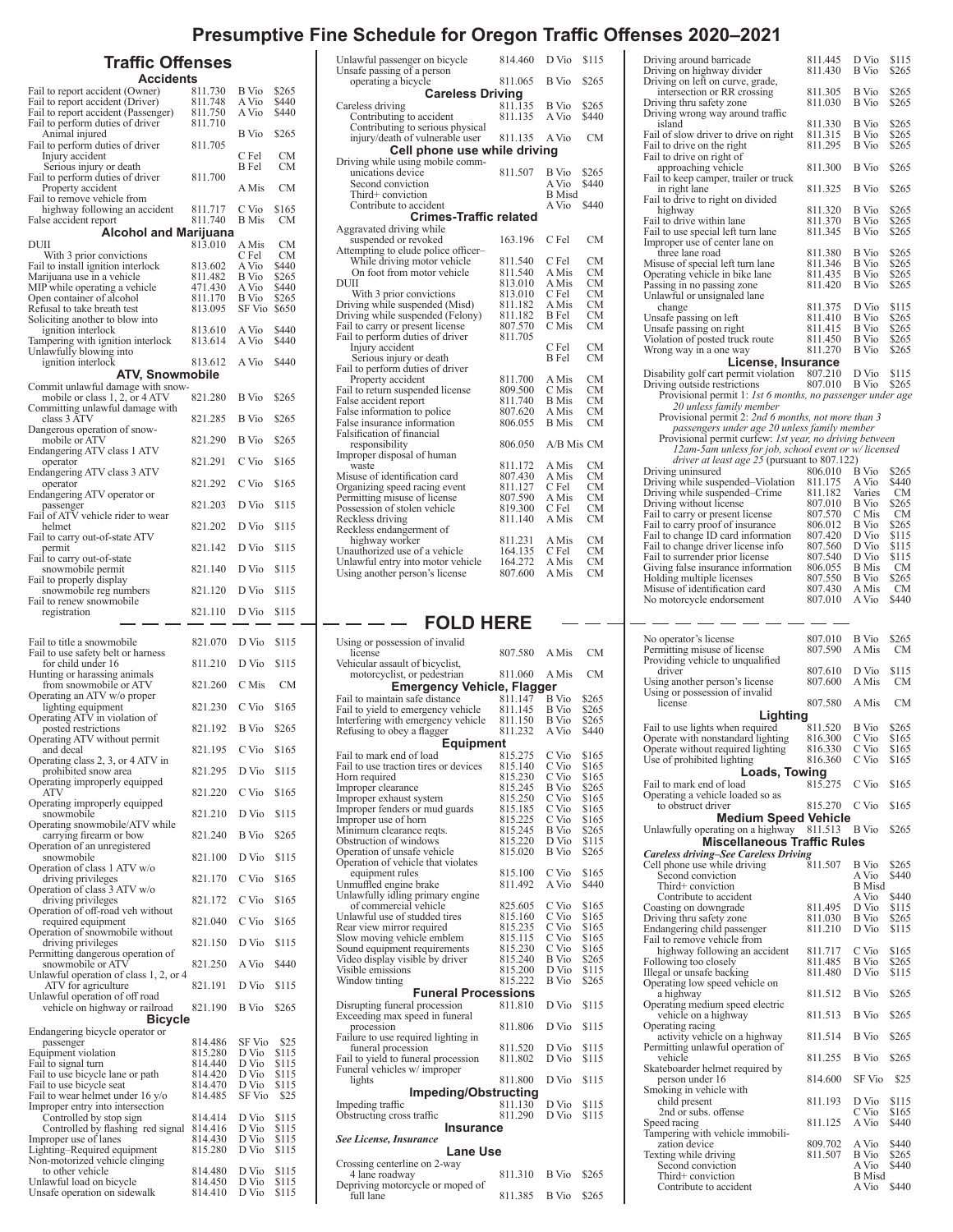# **Presumptive Fine Schedule for Oregon Traffic Offenses 2020–2021**

# **Traffic Offenses**

| Accidents                                                               |                    |                 |                |  |
|-------------------------------------------------------------------------|--------------------|-----------------|----------------|--|
| Fail to report accident (Owner)                                         | 811.730            | B Vio           | \$265          |  |
| Fail to report accident (Driver)<br>Fail to report accident (Passenger) | 811.748<br>811.750 | A Vio<br>A Vio  | \$440<br>\$440 |  |
| Fail to perform duties of driver                                        | 811.710            |                 |                |  |
| Anımal injured<br>Fail to perform duties of driver                      | 811.705            | B Vio           | \$265          |  |
| Injury accident                                                         |                    | C Fel<br>B Fel  | CМ             |  |
| Serious injury or death<br>Fail to perform duties of driver             | 811.700            |                 | CМ             |  |
| Property accident                                                       |                    | A Mis           | CМ             |  |
| Fail to remove vehicle from<br>highway following an accident            | 811.717            | C Vio           | \$165          |  |
| False accident report                                                   | 811.740            | B Mis           | CМ             |  |
| Alcohol and Marijuana<br>DUII                                           | 813.010            | A Mis           | CМ             |  |
| With 3 prior convictions                                                |                    | C Fel           | CМ             |  |
| Fail to install ignition interlock<br>Marijuana use in a vehicle        | 813.602<br>811.482 | A Vio<br>B Vio  | \$440<br>\$265 |  |
| MIP while operating a vehicle                                           | 471.430            | A Vio           | \$440          |  |
| Open container of alcohol                                               | 811.170            | B Vio           | \$265          |  |
| Refusal to take breath test<br>Soliciting another to blow into          | 813.095            | SF Vio          | \$650          |  |
| ignition interlock                                                      | 813.610            | A Vio           | \$440          |  |
| Tampering with ignition interlock                                       | 813.614            | A Vio           | \$440          |  |
| Unlawfully blowing into<br>ignition interlock                           | 813.612            | A Vio           | \$440          |  |
| ATV, Snowmobile                                                         |                    |                 |                |  |
| Commit unlawful damage with snow-<br>mobile or class 1, 2, or 4 ATV     | 821.280            | B Vio           | \$265          |  |
| Committing unlawful damage with                                         |                    |                 |                |  |
| class 3 ATV<br>Dangerous operation of snow-                             | 821.285            | B Vio           | \$265          |  |
| mobile or ATV                                                           | 821.290            | B Vio           | \$265          |  |
| Endangering ATV class 1 ATV<br>operator                                 | 821.291            | C Vio           | \$165          |  |
| Endangering ATV class 3 ATV<br>operator                                 | 821.292            | C Vio           | \$165          |  |
| Endangering ATV operator or<br>passenger                                | 821.203            | D Vio           | \$115          |  |
| Fail of ATV vehicle rider to wear                                       |                    |                 |                |  |
| helmet<br>Fail to carry out-of-state ATV                                | 821.202            | D Vio           | \$115          |  |
| permit<br>Fail to carry out-of-state                                    | 821.142            | D Vio           | \$115          |  |
| snowmobile permit                                                       | 821.140            | D Vio           | \$115          |  |
| Fail to properly display<br>snowmobile reg numbers                      | 821.120            | D Vio           | \$115          |  |
| Fail to renew snowmobile<br>registration                                | 821.110            | D Vio           | \$115          |  |
|                                                                         |                    |                 |                |  |
| Fail to title a snowmobile                                              | 821.070            | D Vio           | \$115          |  |
| Fail to use safety belt or harness<br>for child under 16                | 811.210            | D Vio           | \$115          |  |
| Hunting or harassing animals                                            | 821.260            | C Mis           | <b>CM</b>      |  |
| from snowmobile or ATV<br>Operating an ATV w/o proper                   |                    |                 |                |  |
| lighting equipment<br>Operating ATV in violation of                     | 821.230            | C Vio           | \$165          |  |
| posted restrictions<br>Operating ATV without permit                     | 821.192            | B Vio           | \$265          |  |
| and decal                                                               | 821.195            | C Vio           | \$165          |  |
| Operating class 2, 3, or 4 ATV in<br>prohibited snow area               | 821.295            | D Vio           | \$115          |  |
| Operating improperly equipped<br>ATV                                    | 821.220            | C Vio           | \$165          |  |
| Operating improperly equipped                                           | 821.210            | D Vio           | \$115          |  |
| snowmobile<br>Operating snowmobile/ATV while                            |                    |                 |                |  |
| carrying firearm or bow<br>Operation of an unregistered                 | 821.240            | B Vio           | \$265          |  |
| snowmobile<br>Operation of class 1 ATV w/o                              | 821.100            | D Vio           | \$115          |  |
| driving privileges                                                      | 821.170            | C Vio           | \$165          |  |
| Operation of class 3 ATV w/o<br>driving privileges                      | 821.172            | C Vio           | \$165          |  |
| Operation of off-road veh without                                       |                    |                 |                |  |
| required equipment<br>Operation of snowmobile without                   | 821.040            | C Vio           | \$165          |  |
| driving privileges                                                      | 821.150            | D Vio           | \$115          |  |
| Permitting dangerous operation of<br>snowmobile or ATV                  | 821.250            | A Vio           | \$440          |  |
| Unlawful operation of class 1, 2, or 4                                  |                    |                 |                |  |
| ATV for agriculture<br>Unlawful operation of off road                   | 821.191            | D Vio           | \$115          |  |
| vehicle on highway or railroad                                          | 821.190            | B Vio           | \$265          |  |
| <b>Bicycle</b><br>Endangering bicycle operator or                       |                    |                 |                |  |
| passenger                                                               | 814.486            | SF Vio          | \$25           |  |
| Equipment violation<br>Fail to signal turn                              | 815.280<br>814.440 | D Vio<br>D Vio  | \$115<br>\$115 |  |
| Fail to use bicycle lane or path                                        | 814.420            | D Vio           | \$115          |  |
| Fail to use bicycle seat<br>Fail to wear helmet under 16 y/o            | 814.470<br>814.485 | D Vio<br>SF Vio | \$115<br>\$25  |  |
| Improper entry into intersection                                        |                    |                 |                |  |
| Controlled by stop sign                                                 | 814.414            | D Vio           | \$115          |  |
| Controlled by flashing red signal<br>Improper use of lanes              | 814.416<br>814.430 | D Vio<br>D Vio  | \$115<br>\$115 |  |
| Lighting–Required equipment                                             | 815.280            | D Vio           | \$115          |  |
| Non-motorized vehicle clinging<br>to other vehicle                      | 814.480            | D Vio           | \$115          |  |
| Unlawful load on bicycle                                                | 814.450            | D Vio           | \$115          |  |
| Unsafe operation on sidewalk                                            | 814.410            | D Vio           | \$115          |  |

|                                                                     | ע~יי               |                |                |
|---------------------------------------------------------------------|--------------------|----------------|----------------|
| Unlawful passenger on bicycle                                       | 814.460            | D Vio          | \$115          |
| Unsafe passing of a person<br>operating a bicycle                   | 811.065            | B Vio          | \$265          |
| <b>Careless Driving</b>                                             |                    |                |                |
| Careless driving<br>Contributing to accident                        | 811.135<br>811.135 | B Vio<br>A Vio | \$265<br>\$440 |
| Contributing to serious physical<br>injury/death of vulnerable user | 811.135            | A Vio          | CМ             |
| Cell phone use while driving                                        |                    |                |                |
| Driving while using mobile comm-                                    |                    |                |                |
| unications device                                                   | 811.507            | B Vio          | \$265          |
| Second conviction                                                   |                    | A Vio          | \$440          |
| Third+ conviction                                                   |                    | B Misd         |                |
| Contribute to accident                                              |                    | A Vio          | \$440          |
| <b>Crimes-Traffic related</b>                                       |                    |                |                |
| Aggravated driving while                                            |                    |                |                |
| suspended or revoked<br>Attempting to elude police officer-         | 163.196            | C Fel          | CМ             |
| While driving motor vehicle                                         | 811.540            | C Fel          | CМ             |
| On foot from motor vehicle                                          | 811.540            | A Mis          | <b>CM</b>      |
| DUII                                                                | 813.010            | A Mis          | CМ             |
| With 3 prior convictions                                            | 813.010            | C Fel          | <b>CM</b>      |
| Driving while suspended (Misd)                                      | 811.182            | A Mis          | CM             |
| Driving while suspended (Felony)                                    | 811.182            | B Fel          | CМ             |
| Fail to carry or present license                                    | 807.570            | C Mis          | CМ             |
| Fail to perform duties of driver<br>Injury accident                 | 811.705            | C Fel          | CМ             |
| Serious injury or death                                             |                    | B Fel          | CМ             |
| Fail to perform duties of driver                                    |                    |                |                |
| Property accident                                                   | 811.700            | A Mis          | CМ             |
| Fail to return suspended license                                    | 809.500            | C Mis          | <b>CM</b>      |
| False accident report                                               | 811.740            | <b>B</b> Mis   | CМ             |
| False information to police                                         | 807.620            | A Mis          | CМ             |
| False insurance information<br>Falsification of financial           | 806.055            | <b>B</b> Mis   | CМ             |
| responsibility                                                      | 806.050            | A/B Mis CM     |                |
| Improper disposal of human                                          |                    |                |                |
| waste                                                               | 811.172            | A Mis          | СM             |
| Misuse of identification card                                       | 807.430            | A Mis          | CМ             |
| Organizing speed racing event                                       | 811.127            | C Fel          | <b>CM</b>      |
| Permitting misuse of license<br>Possession of stolen vehicle        | 807.590<br>819.300 | A Mis<br>C Fel | СM<br>СM       |
|                                                                     |                    |                |                |
|                                                                     |                    |                |                |
| Reckless driving                                                    | 811.140            | A Mis          | CМ             |
| Reckless endangerment of<br>highway worker                          | 811.231            | A Mis          | CM             |
| Unauthorized use of a vehicle                                       | 164.135            | C Fel          | CМ             |
| Unlawful entry into motor vehicle                                   | 164.272            | A Mis          | CМ             |
| Using another person's license                                      | 807.600            | A Mis          | CМ             |
|                                                                     |                    |                |                |
|                                                                     |                    |                |                |
| <b>FOLD HERE</b>                                                    |                    |                |                |
| Using or possession of invalid                                      |                    |                |                |
| license<br>Vehicular assault of bicyclist,                          | 807.580            | A Mis          | CМ             |
| motorcyclist, or pedestrian                                         | 811.060            | A Mis          | CМ             |
| Emergency Vehicle, Flagger                                          |                    |                |                |
| Fail to maintain safe distance                                      | 811.147            | B Vio          | \$265          |
| Fail to yield to emergency vehicle                                  | 811.145            | B Vio          | \$265          |
| Interfering with emergency vehicle                                  | 811.150            | B Vio          | \$265          |
| Refusing to obey a flagger                                          | 811.232            | A Vio          | \$440          |
| Equipment<br>Fail to mark end of load                               |                    |                | \$165          |
| Fail to use traction tires or devices                               | 815.275<br>815.140 | C Vio<br>C Vio | \$165          |
| Horn required                                                       | 815.230            | C Vio          | \$165          |
| Improper clearance                                                  | 815.245            | B Vio          | \$265          |
| Improper exhaust system                                             | 815.250            |                | \$165          |
| Improper fenders or mud guards                                      | 815.185            | C Vio<br>C Vio | \$165          |
| Improper use of horn                                                | 815.225            | C Vio          | \$165          |
| Minimum clearance reqts.                                            | 815.245            | B Vio          | \$265          |
| Obstruction of windows<br>Operation of unsafe vehicle               | 815.220<br>815.020 | D Vio<br>B Vio | \$115<br>\$265 |
| Operation of vehicle that violates                                  |                    |                |                |
| equipment rules                                                     | 815.100            | C Vio          | \$165          |
| Unmuffled engine brake                                              | 811.492            | A Vio          | \$440          |
| Unlawfully idling primary engine                                    |                    |                |                |
| of commercial vehicle                                               | 825.605            | C Vio          | \$165          |
| Unlawful use of studded tires<br>Rear view mirror required          | 815.160<br>815.235 | C Vio<br>C Vio | \$165<br>\$165 |
| Slow moving vehicle emblem                                          | 815.115            |                | \$165          |
| Sound equipment requirements                                        | 815.230            | C Vio<br>C Vio | \$165          |
| Video display visible by driver                                     | 815.240            | B Vio          | \$265          |
| Visible emissions<br>Window tinting                                 | 815.200<br>815.222 | D Vio<br>B Vio | \$115<br>\$265 |

| Using or possession of invalid                                  |         |       |           |
|-----------------------------------------------------------------|---------|-------|-----------|
| license                                                         | 807.580 | A Mis | <b>CM</b> |
| Vehicular assault of bicyclist,                                 |         |       |           |
| motorcyclist, or pedestrian                                     | 811.060 | A Mis | CМ        |
| <b>Emergency Vehicle, Flagger</b>                               |         |       |           |
| Fail to maintain safe distance                                  | 811.147 | B Vio | \$265     |
| Fail to yield to emergency vehicle                              | 811.145 | B Vio | \$265     |
| Interfering with emergency vehicle                              | 811.150 | B Vio | \$265     |
| Refusing to obey a flagger                                      | 811.232 | A Vio | \$440     |
| <b>Equipment</b>                                                |         |       |           |
| Fail to mark end of load                                        | 815.275 | C Vio | \$165     |
| Fail to use traction tires or devices                           | 815.140 | C Vio | \$165     |
| Horn required                                                   | 815.230 | C Vio | \$165     |
| Improper clearance                                              | 815.245 | B Vio | \$265     |
| Improper exhaust system                                         | 815.250 | C Vio | \$165     |
| Improper fenders or mud guards                                  | 815.185 | C Vio | \$165     |
| Improper use of horn                                            | 815.225 | C Vio | \$165     |
| Minimum clearance reqts.                                        | 815.245 | B Vio | \$265     |
| Obstruction of windows                                          | 815.220 | D Vio | \$115     |
| Operation of unsafe vehicle                                     | 815.020 | B Vio | \$265     |
| Operation of vehicle that violates                              |         |       |           |
|                                                                 | 815.100 | C Vio | \$165     |
| equipment rules<br>Unmuffled engine brake                       | 811.492 | A Vio | \$440     |
| Unlawfully idling primary engine                                |         |       |           |
| of commercial vehicle                                           | 825.605 | C Vio | \$165     |
| Unlawful use of studded tires                                   | 815.160 | C Vio | \$165     |
| Rear view mirror required                                       | 815.235 | C Vio | \$165     |
| Slow moving vehicle emblem                                      | 815.115 | C Vio | \$165     |
|                                                                 | 815.230 | C Vio | \$165     |
| Sound equipment requirements<br>Video display visible by driver | 815.240 | B Vio | \$265     |
|                                                                 | 815.200 | D Vio | \$115     |
| Visible emissions                                               | 815.222 | B Vio | \$265     |
| Window tinting                                                  |         |       |           |
| <b>Funeral Processions</b>                                      |         |       |           |
| Disrupting funeral procession                                   | 811.810 | D Vio | \$115     |
| Exceeding max speed in funeral                                  |         |       |           |
| procession                                                      | 811.806 | D Vio | \$115     |
| Failure to use required lighting in                             |         |       |           |
| funeral procession                                              | 811.520 | D Vio | \$115     |
| Fail to yield to funeral procession                             | 811.802 | D Vio | \$115     |
| Funeral vehicles w/ improper                                    |         |       |           |
| lights                                                          | 811.800 | D Vio | \$115     |
| Impeding/Obstructing                                            |         |       |           |
| Impeding traffic                                                | 811.130 | D Vio | \$115     |
| Obstructing cross traffic                                       | 811.290 | D Vio | \$115     |
| <b>Insurance</b>                                                |         |       |           |
| See License, Insurance                                          |         |       |           |
| Lane Use                                                        |         |       |           |
| Crossing centerline on 2-way                                    |         |       |           |
| 4 lane roadway                                                  | 811.310 | B Vio | \$265     |
| Depriving motorcycle or moped of                                |         |       |           |
| full lane                                                       | 811.385 | B Vio | \$265     |
|                                                                 |         |       |           |

| Driving around barricade<br>Driving on highway divider                                                                 | 811.445<br>811.430 | D Vio<br>B Vio             | \$115<br>\$265 |
|------------------------------------------------------------------------------------------------------------------------|--------------------|----------------------------|----------------|
| Driving on left on curve, grade,                                                                                       |                    |                            |                |
| intersection or RR crossing<br>Driving thru safety zone                                                                | 811.305<br>811.030 | B Vio<br>B Vio             | \$265<br>\$265 |
| Driving wrong way around traffic<br>ısland                                                                             | 811.330            | B Vio                      | \$265          |
| Fail of slow driver to drive on right                                                                                  | 811.315            | B Vio                      | \$265          |
| Fail to drive on the right<br>Fail to drive on right of                                                                | 811.295            | B Vio                      | \$265          |
| approaching vehicle<br>Fail to keep camper, trailer or truck                                                           | 811.300            | B Vio                      | \$265          |
| in right lane                                                                                                          | 811.325            | B Vio                      | \$265          |
| Fail to drive to right on divided<br>hıghway                                                                           | 811.320            | B Vio                      | \$265          |
| Fail to drive within lane                                                                                              | 811.370            | B Vio<br>B Vio             | \$265          |
| Fail to use special left turn lane<br>Improper use of center lane on                                                   | 811.345            |                            | \$265          |
| three lane road<br>Misuse of special left turn lane                                                                    | 811.380<br>811.346 | B Vio<br>B Vio             | \$265<br>\$265 |
| Operating vehicle in bike lane                                                                                         | 811.435            | B Vio                      | \$265          |
| Passing in no passing zone<br>Unlawful or unsignaled lane                                                              | 811.420            | B Vio                      | \$265          |
| change<br>Unsafe passing on left                                                                                       | 811.375<br>811.410 | D Vio<br>B Vio             | \$115<br>\$265 |
| Unsafe passing on right                                                                                                | 811.415            | B Vio                      | \$265          |
| Violation of posted truck route<br>Wrong way in a one way                                                              | 811.450<br>811.270 | B Vio<br>B Vio             | \$265<br>\$265 |
| License, Insurance                                                                                                     |                    |                            |                |
| Disability golf cart permit violation<br>Driving outside restrictions                                                  | 807.210<br>807.010 | D V <sub>io</sub><br>B Vio | \$115<br>\$265 |
| Provisional permit 1: 1st 6 months, no passenger under age                                                             |                    |                            |                |
| 20 unless family member<br>Provisional permit 2: 2nd 6 months, not more than 3                                         |                    |                            |                |
| passengers under age 20 unless family member                                                                           |                    |                            |                |
| Provisional permit curfew: <i>Ist year, no driving between</i><br>12am-5am unless for job, school event or w/ licensed |                    |                            |                |
| <i>driver at least age 25</i> (pursuant to 807.122)                                                                    |                    |                            |                |
| Driving uninsured<br>Driving while suspended–Violation                                                                 | 806.010<br>811.175 | B Vio<br>A Vio             | \$265<br>\$440 |
| Driving while suspended–Crime                                                                                          | 811.182            | Varies                     | CМ             |
| Driving without license<br>Fail to carry or present license                                                            | 807.010<br>807.570 | B Vio<br>C Mis             | \$265<br>CМ    |
| Fail to carry proof of insurance                                                                                       | 806.012            | B Vio                      | \$265          |
| Fail to change ID card information<br>Fail to change driver license info                                               | 807.420<br>807.560 | D Vio<br>D Vio             | \$115<br>\$115 |
| Fail to surrender prior license                                                                                        | 807.540            | D Vio                      | \$115          |
| Giving false insurance information<br>Holding multiple licenses                                                        | 806.055<br>807.550 | <b>B</b> Mis<br>B Vio      | CM<br>\$265    |
| Misuse of identification card                                                                                          | 807.430            | A Mis                      | CМ             |
|                                                                                                                        | 807.010            | A Vio                      | \$440          |
| No motorcycle endorsement                                                                                              |                    |                            |                |
|                                                                                                                        |                    |                            |                |
| No operator's license                                                                                                  | 807.010            | B Vio                      | \$265          |
| Permitting misuse of license<br>Providing vehicle to unqualified                                                       | 807.590            | A Mis                      | CМ             |
| driver                                                                                                                 | 807.610            | D Vio                      | \$115          |
| Using another person's license<br>Using or possession of invalid                                                       | 807.600            | A Mis                      | CМ             |
| license                                                                                                                | 807.580            | A Mis                      | CМ             |
| Lighting<br>Fail to use lights when required                                                                           | 811.520            | B Vio                      | \$265          |
| Operate with nonstandard lighting                                                                                      | 816.300<br>816.330 | C Vio                      | \$165          |
| Operate without required lighting<br>Use of prohibited lighting                                                        | 816.360            | C Vio<br>C Vio             | \$165<br>\$165 |
| Loads, Towing                                                                                                          |                    |                            |                |
| Fail to mark end of load<br>Operating a vehicle loaded so as                                                           | 815.275            | C Vio                      | \$165          |
| to obstruct driver                                                                                                     | 815.270            | C Vio                      | \$165          |
| <b>Medium Speed Vehicle</b><br>Unlawfully operating on a highway                                                       | 811.513            | B Vio                      | \$265          |
| <b>Miscellaneous Traffic Rules</b>                                                                                     |                    |                            |                |
| <b>Careless driving–See Careless Driving</b><br>Cell phone use while driving                                           | 811.507            | B Vio                      | \$265          |
| Second conviction                                                                                                      |                    | A Vio                      | \$440          |
| Third+ conviction<br>Contribute to accident                                                                            |                    | <b>B</b> Misd<br>A Vio     | \$440          |
| Coasting on downgrade                                                                                                  | 811.495            | D Vio                      | \$115          |
| Driving thru safety zone<br>Endangering child passenger                                                                | 811.030<br>811.210 | B Vio<br>D Vio             | \$265<br>\$115 |
| Fail to remove vehicle from                                                                                            |                    | C Vio                      | \$165          |
| highway following an accident<br>Following too closely                                                                 | 811.717<br>811.485 | B Vio                      | \$265          |
| Illegal or unsafe backing<br>Operating low speed vehicle on                                                            | 811.480            | D Vio                      | \$115          |
| a highway                                                                                                              | 811.512            | B Vio                      | \$265          |
| Operating medium speed electric<br>vehicle on a highway                                                                | 811.513            | B Vio                      | \$265          |
| Operating racing                                                                                                       | 811.514            | B Vio                      | \$265          |
| activity vehicle on a highway<br>Permitting unlawful operation of                                                      |                    |                            |                |
| vehicle<br>Skateboarder helmet required by                                                                             | 811.255            | B Vio                      | \$265          |
| person under 16                                                                                                        | 814.600            | SF Vio                     | \$25           |
| Smoking in vehicle with<br>child present                                                                               | 811.193            | D Vio                      | \$115          |
| 2nd or subs. offense                                                                                                   |                    | C Vio                      | \$165          |
| Speed racing<br>Tampering with vehicle immobili-                                                                       | 811.125            | A Vio                      | \$440          |
| zation device                                                                                                          | 809.702            | A Vio                      | \$440          |
| Texting while driving<br>Second conviction<br>Third+ conviction                                                        | 811.507            | B Vio<br>A Vio<br>B Misd   | \$265<br>\$440 |